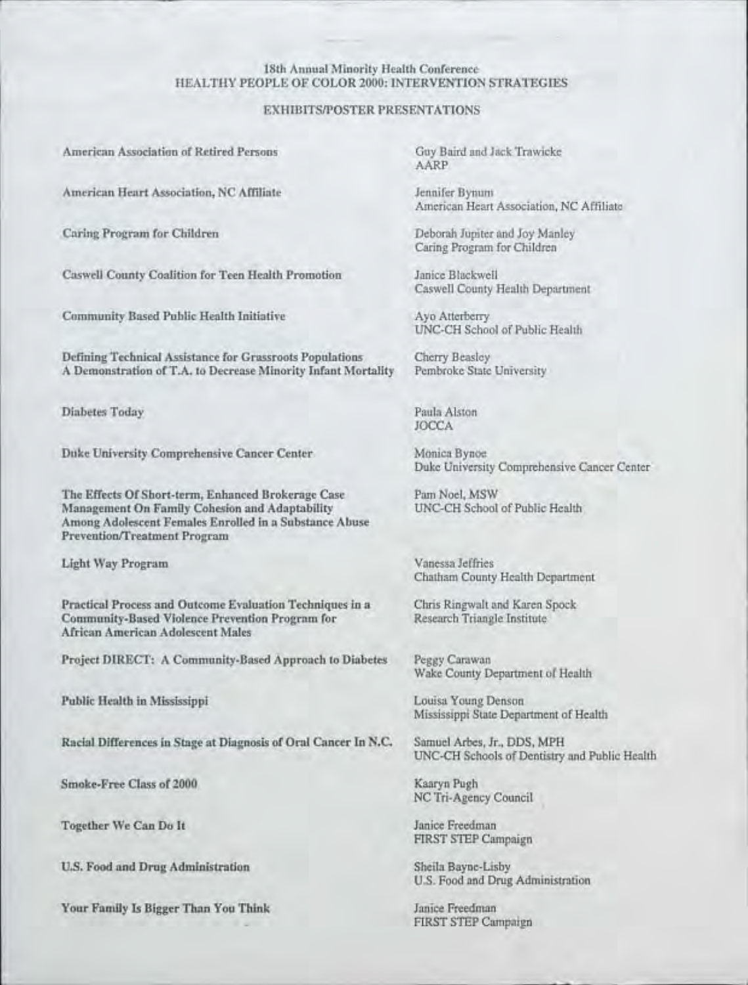#### 18th Annual Minority Health Conference HEALTHY PEOPLE OF COLOR 2000: INTERVENTION STRATEGIES

#### EXHIBITSIPOSTER PRESENTATIONS

American Association of Retired Persons

American Heart Association, NC Affiliate

Caring Program for Children

Caswell County Coalition for Teen Health Promotion

Community Based Public Health Initiative

Defining Technical Assistance for Grassroots Populations A Demonstration of T.A. to Decrease Minority Infant Mortality

Diabetes Today

Duke University Comprehensive Cancer Center

The Effects Of Short-term, Enhanced Brokerage Case Management On Family Cohesion and Adaptability Among Adolescent Females Enrolled in a Substance Abuse Prevention/Treatment Program

Light Way Program

Practical Process and Outcome Evaluation Techniques in a Community-Based Violence Prevention Program for African American Adolescent Males

Project DIRECT: A Community-Based Approach to Diabetes

Public Health in Mississippi

Racial Differences in Stage at Diagnosis of Oral Cancer In N.C.

Smoke-Free Class of 2000

Together We Can Do It

U.s. Food and Drug Administration

Your Family Is Bigger Than You Think

Guy Baird and Jack Trawicke AARP

Jennifer Bynum American Heart Association, NC Affiliate

Deborah Jupiter and Joy Manley Caring Program for Children

Janice Blackwell Caswell County Health Department

Ayo Atterberry UNC-CH School of Public Health

Cherry Beasley Pembroke State University

Paula Alston JOCCA

Monica Bynoe Duke University Comprehensive Cancer Center

Pam Noel, MSW UNC-CH School of Public Health

Vanessa Jeffries Chatham County Health Department

Chris Ringwalt and Karen Spock Research Triangle Institute

Peggy Carawan Wake County Department of Health

Louisa Young Denson Mississippi State Department of Health

Samuel Arbes, Jr., DDS, MPH UNC-CH Schools of Dentistry and Public Health

Kaaryn Pugh NC Tri-Agency Council

Janice Freedman FIRST STEP Campaign

Sheila Bayne-Lisby U.S. Food and Drug Administration

Janice Freedman FIRST STEP Campaign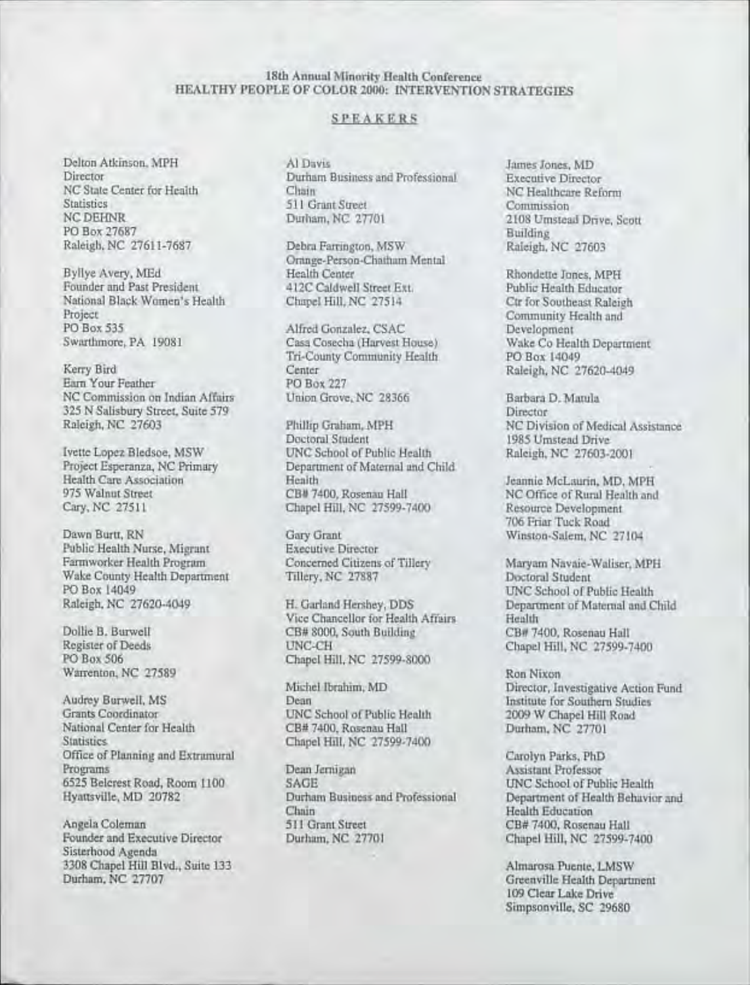# 18th Annual Minority Health Conference HEALTHY PEOPLE OF COLOR 2000: INTERVENTION STRATEGIES

## SPEAKERS

Delton Atkinson, MPH Director NC State Center for Health **Statistics** NCDEHNR PO Box 27687 Raleigh, NC 27611-7687

Byllye Avery, MEd Founder and Past President National Black Women's Health Project PO Box 535 Swarthmore, PA 19081

Kerry Bird Earn Your Feather NC Commission on Indian Affairs 325 N Salisbury Street, Suite 579 Raleigh, NC 27603

Ivette Lopez Bledsoe, MSW Project Esperanza, NC Primary Health Care Association 975 Walnut Street Cary, NC 27511

Dawn Burtt, RN Public Health Nurse, Migrant Farmworker Health Program Wake County Health Department PO Box 14049 Raleigh, NC 27620-4049

Dollie B. Burwell Register of Deeds PO Box 506 Warrenton, NC 27589

Audrey Burwell, MS Grants Coordinator National Center for Health **Statistics** Office of Planning and Extramural Programs 6525 Be1crest Road, Room 1100 Hyattsville, MD 20782

Angela Coleman Founder and Executive Director Sisterhood Agenda 3308 Chapel Hill Blvd., Suite 133 Durham, NC 27707

Al Davis Durham Business and Professional Chain 511 Grant Street Durham, NC 27701

Debra Farrington, MSW Orange-Person-Chatham Mental Health Center 412C Caldwell Street Ext. Chapel Hill, NC 27514

Alfred Gonzalez, CSAC Casa Cosecha (Harvest House) Tri-County Community Health **Center** PO Box 227 Union Grove, NC 28366

Phillip Graham, MPH Doctoral Student UNC School of Public Health Department of Maternal and Child Health CB# 7400, Rosenau Hall Chapel Hill, NC 27599-7400

Gary Grant Executive Director Concerned Citizens of Tillery Tillery, NC 27887

H. Garland Hershey, DDS Vice Chancellor for Health Affairs CB# 8000, South Building UNC-CH Chapel Hill, NC 27599-8000

Michel Ibrahim, MD Dean UNC School of Public Health CB# 7400, Rosenau Hall Chapel Hill, NC 27599-7400

Dean Jernigan SAGE Durham Business and Professional Chain 511 Grant Street Durham, NC 27701

James Jones, MD Executive Director NC Healthcare Reform **Commission** 2108 Umstead Drive, Scott Building Raleigh, NC 27603

Rhondette Jones, MPH Public Health Educator Ctr for Southeast Raleigh Community Health and Development Wake Co Health Department PO Box 14049 Raleigh, NC 27620-4049

Barbara D. Matula **Director** NC Division of Medical Assistance 1985 Umstead Drive Raleigh, NC 27603-2001

Jeannie McLaurin, MD, MPH NC Office of Rural Health and Resource Development 706 Friar Tuck Road Winston-Salem, NC 27104

Maryam Navaie-Waliser, MPH Doctoral Student UNC School of Public Health Department of Maternal and Child Health CB#-7400, Rosenau Hall Chapel Hill, NC 27599-7400

Ron Nixon Director, Investigative Action Fund Institute for Southern Studies 2009 W Chapel Hill Road Durham, NC 27701

Carolyn Parks, PhD Assistant Professor UNC School of Public Health Department of Health Behavior and Health Education CB# 7400, Rosenau Hall Chapel Hill, NC 27599-7400

Almarosa Puente, LMSW Greenville Health Department 109 Clear Lake Drive Simpsonville, SC 29680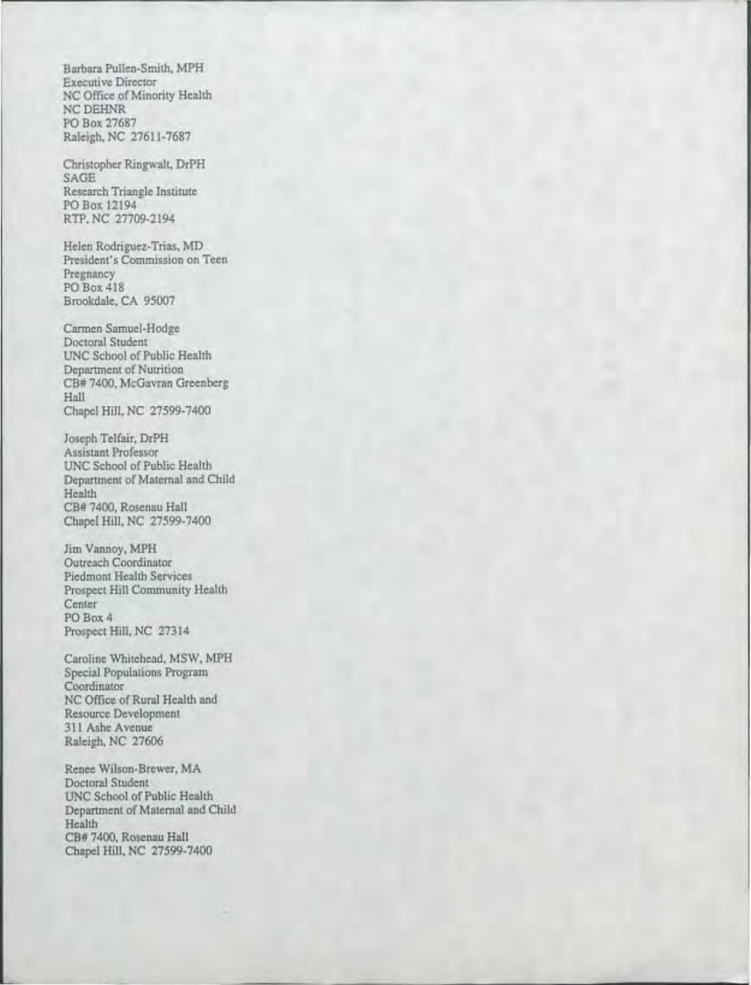Barbara Pullen-Smith, MPH Executive Director NC Office of Minority Health NCDEHNR PO Box 27687 Raleigh, NC 27611-7687

Christopher Ringwalt, DrPH SAGE Research Triangle Institute PO Box 12194 RTP, NC 27709-2194

Helen Rodriguez-Trias, MD President's Commission on Teen Pregnancy PO Box 418 Brookdale, CA 95007

Carmen Samuel-Hodge Doctoral Student UNC School of Public Health Department of Nutrition CB# 7400, McGavran Greenberg Hall Chapel Hill, NC 27599-7400

Joseph Telfair, DrPH Assistant Professor UNC School of Public Health Department of Maternal and Child Health CB# 7400, Rosenau Hall Chapel Hill, NC 27599-7400

Jim Vannoy, MPH Outreach Coordinator Piedmont Health Services Prospect Hill Community Health **Center** PO Box 4 Prospect Hill, NC 27314

Caroline Whitehead, MSW, MPH Special Populations Program Coordinator NC Office of Rural Health and Resource Development 311 Ashe Avenue Raleigh, NC 27606

Renee Wilson-Brewer, MA Doctoral Student UNC School of Public Health Department of Maternal and Child Health CB# 7400, Rosenau Hall Chapel Hill, NC 27599-7400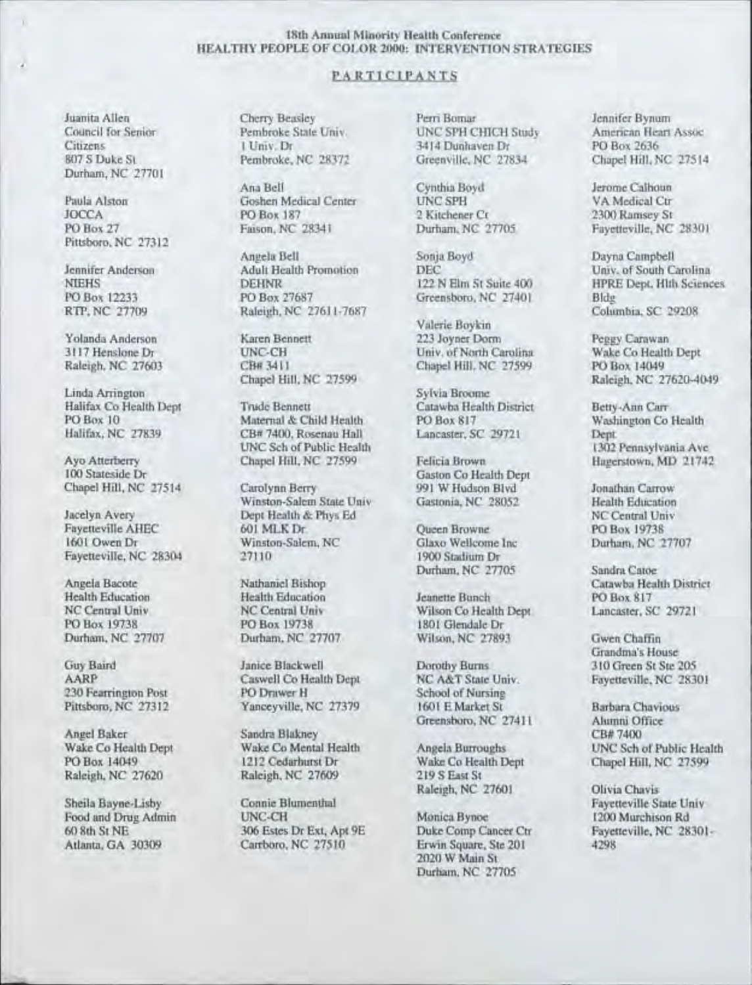### 18th Annual Minority Health Conference HEALTHY PEOPLE OF COLOR 2000: INTERVENTION STRATEGIES

# PARTICIPANTS

Durham, NC 27701

Pittsboro, NC 27312

Linda Arrington<br>Halifax Co Health Dept Strude Bennett

Fayetteville, NC 28304

Raleigh, NC 27620

Citizens 1 Univ. Dr 3414 Dunhaven Dr 3517 367 S Duke St 26372

Ana Bell Cynthia Boyd Jerome Calhoun<br>
Goshen Medical Center UNC SPH VA Medical Ctr Paula Alston Goshen Medical Center UNC SPH VA Medical Ctr<br>
PO Box 187 2 Kitchener Ct 2300 Ramsey St JOCCA PO Box 187 2 Kitchener Ct 2300 Ramsey St

Angela Bell Sonja Boyd Dayna Campbell<br>
Adult Health Promotion DEC Univ. of South C Jennifer Anderson Adult Health Promotion DEC Univ. of South Carolina<br>
DEHNR
DEHNR
DEHNR
DEHNR
DEHNR
DEHNR
DEHNR
DEHNE DEHNR
DEHNE DEHNR
DEHNE DEHNE DEHNE DER HIT ST Suite 400 HPRE DEM. HIT SCIENC PO Box 12233 PO Box 27687 Greensboro, NC 27401 Bldg<br>RTP, NC 27709 Raleigh, NC 27611-7687 Greensboro, NC 27401 Columbia, SC 29208 Raleigh, NC 27611-7687

CB# 3411 Chapel Hill, NC 27599 Chapel Hill, NC 27599

Halifax Co Health Dept Trude Bennett Catawba Health District Betty-Ann Carr<br>PO Box 10 Maternal & Child Health PO Box 817 Washington Co Health PO Box 10 Maternal & Child Health PO Box 817 Wash<br>Halifax, NC 27839 CB# 7400, Rosenau Hall Lancaster, SC 29721 Dept. CB# 7400, Rosenau Hall Lancaster, SC 29721 Dept.<br>UNC Sch of Public Health 1302 Pennsylvania Ave UNC Sch of Public Health<br>Chapel Hill, NC 27599 Pelicia Brown

Chapel Hill, NC 27514 Carolynn Berry 991 W Hudson Blvd Jonathan Carrow<br>Winston-Salem State Univ Gastonia, NC 28052 Health Education Winston-Salem State Univ Jacelyn Avery **Dept Health & Phys Ed** NC Central Univ<br>
Payetteville AHEC 601 MLK Dr. Oueen Browne PO Box 19738 Fayetteville AHEC 601 MLK Dr Queen Browne PO Box 19738 1601 Winston-Salem, NC Glaxo Wellcome Inc Durham, NC 27707<br>1900 Stadium Dr

PO Box 19738 PO Box 19738 1801 Glendale Dr<br>
Durham, NC 27707 Durham, NC 27707 Wilson, NC 2789

Guy Baird Janice Blackwell Dorothy Burns 310 Green St Ste 205<br>AARP Caswell Co Health Dept NC A&T State Univ. Favetteville, NC 28301 **Caswell Co Health Dept** NC A&T State University NC 28401 School of Nursine 230 Fearrington Post PO Drawer H School of Nursing<br>
Pittsboro, NC 27312 Yanceyville, NC 27379 1601 E Market St

Angel Baker Sandra Blakney CB# 7400 Postarhurst Dr Wake Co Health Dept Chapel Hill, NC 27599 Raleigh. NC 27599 219 S East St

Food and Drug Admin UNC-CH Monica Bynoe Monica Bynoe 1200 Monica Bynoe 1200 Monica Bynoe 1200 Murchison Rd and Rd Ext, Apt 9E 2000 Murchison Rd Cancer Chr Atlanta, GA 30309 Carrboro, NC 27510 Erwin Square, Ste 201 4298

Juanita Allen Cherry Beasley Perri Bomar Jennifer Bynum Council for Senior **Pembroke State Univ.** UNC SPH CHICH Study American Heart Assoc 1 Univ. Dr 3414 Dunhaven Dr PO Box 2636

Valerie Boykin Yolanda Anderson Karen Bennett 223 Joyner Dorm Peggy Carawan 3117 Henslone Dr **UNC-CH** Univ. of North Carolina Wake Co Health Dept<br>
Raleigh, NC 27603 CB# 3411 Chapel Hill. NC 27599 PO Box 14049

Ayo Atterberry Chapel Hill, NC 27599 Felicia Brown Hagerstown, MD 21742<br>100 Stateside Dr 100 Gaston Co Health Dept<br>100 States Dr Gaston Blvd<br>100 States Dr Gaston Blvd

Durham, NC 27705 Sandra Catoe

Health Education Health Education Jeanette Bunch<br>
NC Central Univ NC Central Univ Wilson Co Health Dept NC Central Univ NC Central Univ Wilson Co Health Dept Lancaster, SC 29721<br>
PO Box 19738 PO Box 19738 1801 Glendale Dr Wilson, NC 27893 Gwen Chaffin

> Panceyville, NC 27379 1601 E Market St Barbara Chavious<br>
> Greensboro, NC 27411 Alumni Office Greensboro, NC 27411 Alumni Of

> > Raleigh, NC 27601 Olivia Chavis

2020 W Main St Durham, NC 27705 Chapel Hill, NC 27514

PO Box 27 Faison, NC 28341 Durham, NC 27705 Fayetteville, NC 28301

NIEHS DEHNR DEHNR 122 N Elm St Suite 400 HPRE Dept, Hlth Sciences<br>PO Box 12233 PO Box 27687 Greensboro, NC 27401 Bldg

Raleigh, NC 27620-4049<br>Sylvia Broome

Angela Bacote Nathaniel Bishop Catawba Health District<br>
Health Education Health Education Catawba Health District<br>
PO Box 817

Grandma's House

Wake Co Health Dept Wake Co Mental Health Angela Burroughs UNC Sch of Public Health PO Box 14049 1212 Cedarburst Dr Wake Co Health Dept Chapel Hill, NC 27599

Sheila Bayne-Lisby Connie Blumenthal Fayetteville State Univ<br>
Food and Drug Admin UNC-CH Monica Bynoe 1200 Murchison Rd Fayetteville, NC 28301-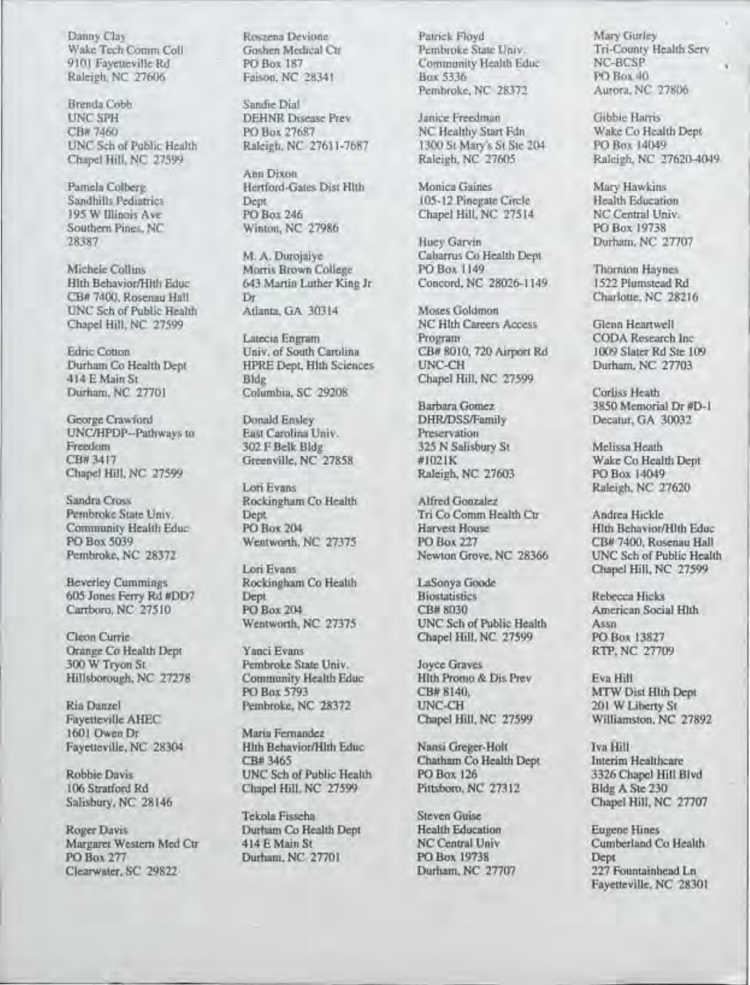Brenda Cobb Sandie Dial<br>
UNC SPH DEHNR Dia UNC SPH DEHNR Disease Prev Janice Freedman Gibbie Harris<br>
CB# 7460 PO Box 27687 NC Healthy Start Fdn Wake Co Hea CB#7460 PO Box 27687 NC Healthy Start Fdn Wake Co Health Dept<br>
UNC Sch of Public Health Raleigh, NC 27611-7687 1300 St Mary's St Ste 204 PO Box 14049 Chapel Hill, NC 27599

Southern Pines, NC Winton, NC 27986 Puey Garvin Pines, NC 27986

UNC Sch of Public Health Atlanta, GA 30314 Moses Goldmon Moses Goldmon (Chapter Access)

George Crawford Donald Ensley DHR/DSS/Family Decatur, GA 30032<br>
UNC/HPDP--Pathways to East Carolina Univ. Preservation UNCIHPDP--Pathways to East Carolina Univ. Preservation CB# 3417 Greenville, NC 27858 #1021K Wake Co Health Dept<br>Chapel Hill, NC 27599 Raleigh, NC 27603 PO Box 14049 Chapel Hill, NC 27599

Sandra Cross Rockingham Co Health Pembroke State Univ. Dept

Beverley Cummings Rockingham Co Health LaSonya Good LaSonya Good Rockingham Co Health LaSonya Good Rock and Rockingham Co Health Rocking Rocking Rocking Rocking Rocking Rocking Rocking Rocking Rocking Rocking Rocking Rocki

Cleon Currie Chapel Hill, NC 27599 PO Box 13827<br>
Orange Co Health Dept Yanci Evans RTP, NC 27709 Orange Co Health Dept Yanci Evans<br>
300 W Tryon St Pembroke State Univ. Joyce Graves Hillsborough, NC 27278 Community Health Educ Hith Promo & Dis Prev Eva Hill

106 Stratford Rd Chapel Hill, NC 27599 Pittsboro, NC 27312 Bldg A Ste 230<br>Salisbury, NC 28146 Chapel Hill, NC

Roger Davis **Durham Co Health Dept** Health Education **Eugene Hines**<br>Margaret Western Med Ctr 414 E Main St NC Central Univ Cumberland Co Health Margaret Western Med Ctr 414 E Main St NC Central Univ Cumberland Cumberland Co Health Cumberland Cumberland Co Health Cumberland Cumberland Cumberland Co Health Cumberland Cumberland Co Health Cumberland Cumberland Co Hea Clearwater, SC 29822

Ann Dixon Pamela Colberg **Hertford-Gates Dist Hlth** Monica Gaines Mary Hawkins Mary Hawkins **Mary Hawkins** 105-12 Pinegate Circle Health Education Sandhills Pediatrics Dept Dept 105-12 Pinegate Circle Health Education<br>
195 W Illinois Ave PO Box 246 Chapel Hill, NC 27514 NC Central Univ. 195 W Illinois Ave PO Box 246 Chapel Hill, NC 27514 NC Central University NC Central University NC 27986 PO Box 19738

643 Martin Luther King Jr Concord, NC 28026-1149 1522 Plumstead Rd<br>Dr Charlotte, NC 28216 CB# 7400, Rosenau Hall Dr<br>
UNC Sch of Public Health Atlanta, GA 30314 Moses Goldmon

Latecia Engram Program CODA Research Inc Edric Cotton **Univ. of South Carolina** CB# 8010, 720 Airport Rd 1009 Slater Rd Ste 109<br>
Durham Co Health Dept HPRE Dept, Hith Sciences UNC-CH Durham, NC 27703 HPRE Dept, Hith Sciences<br>Bldg 414 E Main St Bldg Bldg Chapel Hill, NC 27599<br>
Durham, NC 27701 Columbia, SC 29208 Durham, NC 27701 Columbia, SC 29208 Corliss Heath

Lori Evans Raleigh, NC 27620<br>Rockineham Co Health Alfred Gonzalez

Lori Evans Chapel Hill, NC 27599 Carrboro, NC 27510 PO Box 204<br>Wentworth, NC 27375

300 Pembroke State Univ.<br>300 Community Health Educ Filth Promo & Dis Prev

1601 Owen Dr Maria Fernandez<br>Favetteville, NC 28304 Hith Behavior/Hith Educ Fayetteville, NC 28304 Hlth Behavior/Hlth Educ Nansi Greger-Holt Iva Hill Iva Hill<br>CB# 3465 Chathum Co Health Dept Interim Healthcare Robbie Davis **UNC Sch of Public Health** PO Box 126 3326 Chapel Hill Blvd

Tekola Fisseha Steven Guise

Danny Clay Roszena Devione Patrick Floyd Mary Gurley Mary Gurley<br>Wake Tech Comm Coll Goshen Medical Ctr Pembroke State Univ. Tri-County Health Serv Wake Tech Comm Coll Goshen Medical Ctr Pembroke State Univ. Tri-County Tri-County Goshen McGoshen MC Health Server State Univ. Tri-County Tri-County (1999) PO Box 187 Community Health Educ NC-BCSP<br>
Faison, NC 28341 Box 5336 PO Box 40 Raleigh, NC 27606 Faison, NC 28341 Box 5336 PO Box 40<br>Pembroke, NC 28372 Aurora, NC 27806 Pembroke, NC 28372

27707 Huey Garvin Durham, NC 27707<br>27707 Cabarrus Co Health Dept Cabarrus Co Health Dept<br>PO Box 1149 Michele Collins Morris Brown College PO Box 1149 Thornton Haynes<br>
Hith Behavior/Hith Educ 643 Martin Luther Kine Jr Concord, NC 28026-1149 1522 Plumstead Rd

Chapel Hill, NC 27599 NC Hlth Careers Access Glenn Heartwell

**FREEDOM** 325 N Salisbury St Melissa Heath

Pembroke State Univ. Dept Tri Co Comm Health Ctr Andrea Hickle<br>Community Health Educ PO Box 204 Harvest House House Hith Behavior/ Community Health Educ PO Box 204 Harvest House Hlth Behavior/Hlth Educ<br>PO Box 5039 Wentworth, NC 27375 PO Box 227 CB# 7400, Rosenau Hall PO Box 5039 **Wentworth, NC 27375** PO Box 227 **CB# 7400, Rosenau Hall**<br>Pembroke, NC 28372 **Wentworth, NC 27375** PO Box 227 **CB# 7400, Rosenau Hall** Newton Grove, NC 28366

605 Jones Ferry Rd #DD7 Dept Biostatistics Rebecca Hicks<br>
Carrboro, NC 27510 PO Box 204 CB# 8030 American Social Hith UNC Sch of Public Health Assn

PO Box 5793 CB# 8140, MTW Dist Hlth Dept Ria Danzel Pembroke, NC 28372 UNC-CH 201 W Liberty St

Chatham Co Health Dept

UNC St Mary's St Ste 204 PO Box 14049<br>
Raleigh, NC 27605 Raleigh, NC 27620-4049

Barbara Gomez 3850 Memorial Dr #D-1<br>DHR/DSS/Family Decatur, GA 30032

Fayetteville AHEC Chapel Hill, NC 27599 Williamston, NC 27892

Steven Guise Chapel Hill, NC 27707

PO Box 19738 Dept<br>
Durham, NC 27707 227 Fountainhead Ln Fayetteville, NC 28301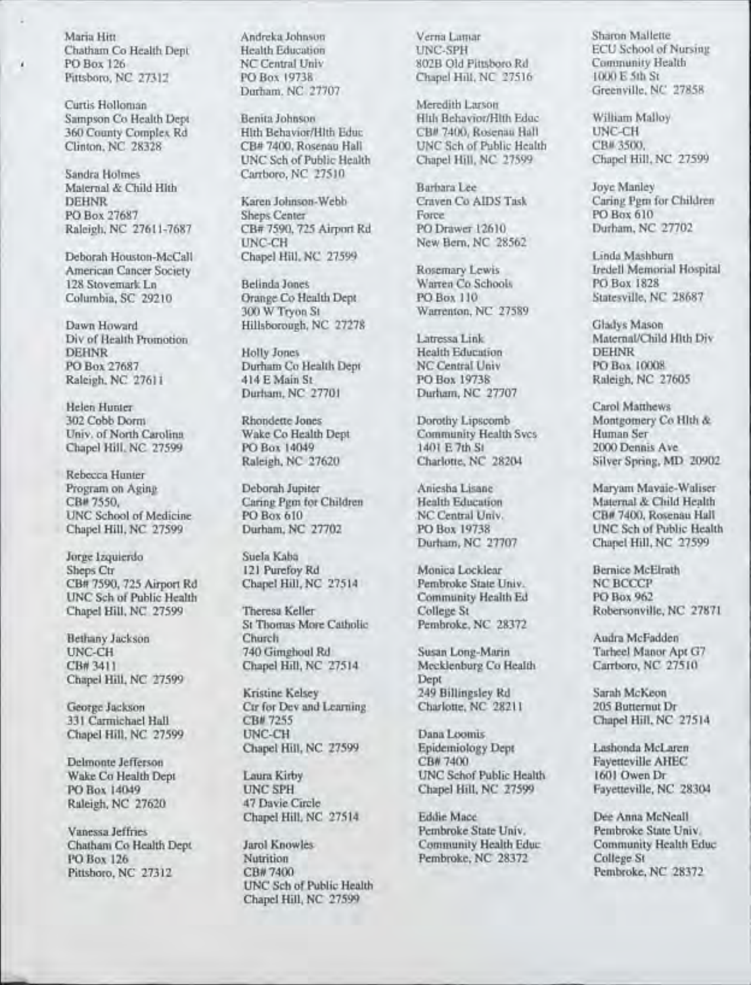Chatham Co Health Dept Health Education UNC-SPH ECU School of Nursing PO Box 126 NC Central Univ 802B Old Pittsboro Rd Community H<br>
Pittsboro, NC 27312 PO Box 19738 Chapel Hill, NC 27516 1000 E 5th St

respectively. The contract of the contract of the contract of the contract of the contract of the contract of

Sandra Holmes Carrboro, NC 27510 Maternal & Child Hith Barbara Lee Joye Manley<br>DEHNR Barbara Lee Johnson-Webb Craven Co AIDS Task Caring Pern f

American Cancer Society **Rosemary Lewis** Iredell Memorial Hospital Hospital Hospital Hospital Hospital Hospital Hospital Hospital Hospital Hospital Hospital Hospital Hospital Hospital Hospital Hospital Hospital Hospital Ho 128 Stovemark Ln Belinda Jones Warren Co Schools PO Box 1828<br>
Columbia, SC 29210 Orange Co Health Dept PO Box 110 Statesville, NC 28687

Div of Health Promotion **Latressa Link** Maternal<br>DEHNR Holly Jones Health Education **DEHNR** DEHNR Holly Jones Health Education DEHNR PO Box 27687 Durham Co Health Dept NC Central Univ PO Box 10008<br>
Raleigh, NC 27611 414 E Main St PO Box 19738 Raleigh, NC 27605

Helen Hunter Carol Matthews<br>
202 Cobb Dorm Rhondette Jones Dorothy Lipscomb Montgomery Co

Rebecca Hunter<br>Program on Aging UNC School of Medicine PO Box 610 NC Central Univ. CL 27599 Durham, NC 27702 PO Box 19738

Jorge Izquierdo Suela Kaba Sheps Ctr 121 Purefoy Rd Monica Locklear Bernice McElrath<br>
CB# 7590, 725 Airport Rd Chapel Hill, NC 27514 Pembroke State Univ. NC BCCCP CB# 7590, 725 Airport Rd Chapel Hill, NC 27514 Pembroke State Univ. NC BCCCP<br>UNC Sch of Public Health **Community Community Health Ed** PO Box 962 UNC Sch of Public Health Community<br>
Chapel Hill, NC 27599 Theresa Keller College St

Chapel Hill, NC 27599 Kristine Kelsey

Raleigh, NC 27620

Pittsboro, NC 27312

PO Box 19738 Chapel Hill, NC 27516 Chapel Hill, NC 27516

360 County Complex Rd Hith Behavior/Hith Educ CB# 7400, Rosenau Hall UNC-CH<br>Clinton, NC 28328 CB# 7400, Rosenau Hall UNC Sch of Public Health CB# 3500. UNC Sch of Public Health

DEHNR Karen Johnson-Webb Craven Co AIDS Task Caring Pgm for Children PO Box 27687 Sheps Center Force PO Box 610 Raleigh, NC 27611-7687 CB# 7590, 725 Airport Rd PO Drawer 12610 Durham, NC 27702 UNC-CH New Bern, NC 28562<br>Chapel Hill, NC 27599

Orange Co Health Dept<br>300 W Tryon St

Raleigh, NC 27611 414 E Main St<br>Durham, NC 27701

Chapel Hill, NC 27599 PO Box 14049 1401 E 7th St 28204 2012

St Thomas More Catholic<br>Church Bethany Jackson Church Church Audra McFadden<br>
740 Gimghoul Rd Susan Long-Marin Tarheel Manor Ar UNC-CH 740 Gimghoul Rd Susan Long-Marin Tarheel Manor Apt G7<br>
Chapel Hill, NC 27514 Mecklenburg Co Health Carrboro, NC 27510

George Jackson Ctr for Dev and Learning Charlotte, NC 28211 205 Butternut Dr<br>331 Carmichael Hall CB# 7255 Chapel Hill, NC CB# 7255 Chapel Hill, NC 27514<br>
UNC-CH<br>
UNC-CH Chapel Hill, NC 27599 UNC-CH Dana Loomis

PO Box 14049 UNC SPH Chapel Hill, NC 27599<br>Raleigh, NC 27620 47 Davie Circle

Chatham Co Health Dept Jarol Knowles Community Health Educ Community Health Educ Community Penche Community Health Educ Nutrition Pembroke, NC 28372 College St<br>
CB# 7400 Pembroke, NC 28372 UNC Sch of Public Health Chapel Hill, NC 27599

Maria Hitt Andreka Johnson Verna Lamar Sharon Mallette

Curtis Holloman Meredith Larson Meredith Larson Meredith Larson Meredith Larson Meredith Larson Meredith Educ Sampson Co Health Dept Benita Johnson Hlth Behavior/Hlth Educ William Malloy<br>360 County Countes Rd Hlth Behavior/Hlth Educ CB# 7400. Rosenau Hall UNC-CH CR# 3500, UNC Sch of Public Health CB# 3500, Rosenau Hall, NC 27599

Warrenton, NC 27589

Durham, NC 27707

Wake Co Health Dept Community Health Svcs. Human Ser<br>
PO Box 14049 1401 E 7th St 2000 Dennis Ave

College St **Robersonville, NC 27871** Robersonville, NC 27871

Mecklenburg Co Health<br>Dept 249 Billingsley Rd Sarah McKeon

Chapel Hill, NC 27599 Epidemiology Dept Lashonda McLaren Delmonte Jefferson Fayetteville AHEC<br>
Wake Co Health Dept **Laura Kirby CB# 7400 CB# 7400 Fayetteville AHEC** Laura Kirby UNC Schof Public Health 1601 Owen Dr<br>
UNC SPH Chapel Hill, NC 27599 Favetteville, NC 28304

Chapel Hill, NC 27514 Eddie Mace Dee Anna McNeall

Greenville, NC 27858

Deborah Houston-McCall Chapel Hill, NC 27599 Linda Mashburn Linda Mashburn Linda Mashburn Linda Mashburn Lewis Linda Mashburn Lewis Linda Mashburn Lewis Linda Mashburn Lewis Linda Mashburn Lewis Linda Mashburn Lewis Linda

Dawn Howard Hillsborough, NC 27278 Gladys Mason

302 Cobb Dorm Rhondette Jones Dorothy Lipscomb Montgomery Co Hlth & Co Health Dept Community Health Sycs. Human Ser Silver Spring, MD 20902

Program on Aging **Program Octobrah Jupiter** Aniesha Lisane Maryam Mavaie-Waliser<br>CB# 7550, Caring Pgm for Children Health Education Maternal & Child Health Caring Pgm for Children Health Education Maternal & Child Health PO Box 610 PO Box 19738 UNC Sch of Public Health<br>
Durham, NC 27707 Chapel Hill, NC 27599 Chapel Hill, NC 27599

Vanessa Jeffries Pembroke State Univ. Pembroke State Univ.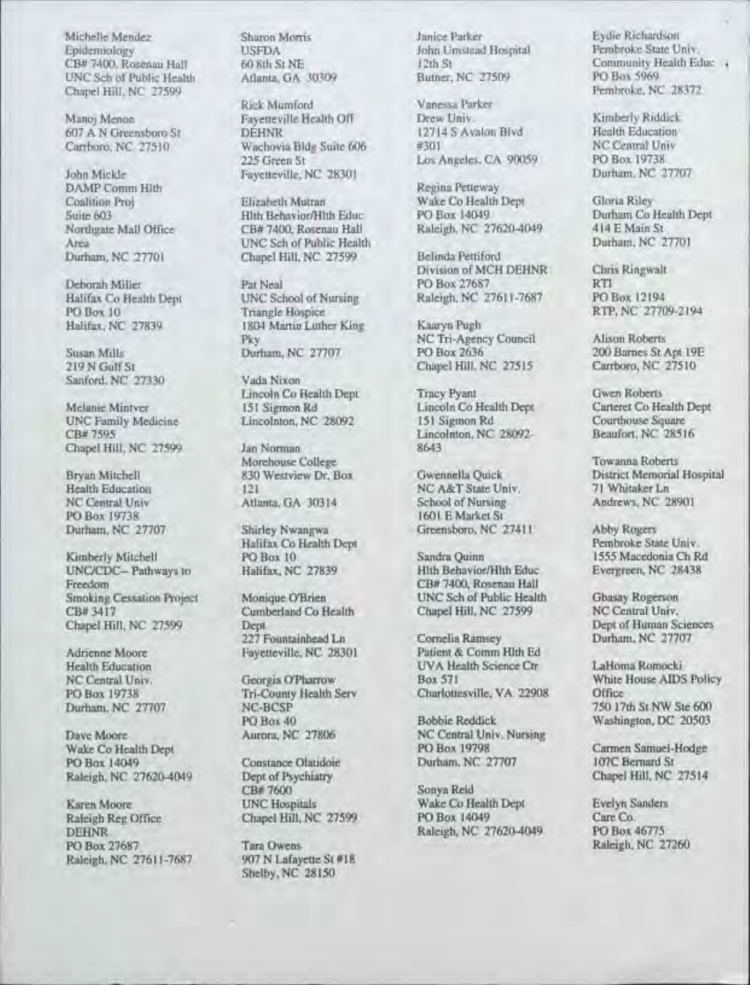Michelle Mendez Sharon Morris Janice Parker Eydie Richardson Epidemiology USFDA John Umstead Hospital Pembroke State Univ.<br>
CB# 7400, Rosenau Hall 60 Sth St NE 12th St Community Health Ea CB# 7400, Rosenau Hall 60 8th St NE 12th St Community H<br>
UNC Sch of Public Health Atlanta, GA 30309 Butner, NC 27509 PO Box 5969 UNC Sch of Public Health Atlanta, GA 30309 Butner, NC 27509 PO Box 5969 PO Box 5969 Chapel Hill, NC 27599<br>Rick Mumford Vanessa Parker

John Mickle Fayetteville, NC 28301 Recina Petteway DAMP Comm Hlth Register Projects Register Register Projects Register Register Peters Register Register Peters Register Register Peters Register Register Register Register Register Register Register Register Register Regist

Sanford, NC 27330

Chapel Hill, NC 27599

Kimberly Mitchell PO Box 10 Sandra Quinn 1555 Macedonia Ch Ro<br>
UNC/CDC-- Pathways to Halifax, NC 27839 Hith Behavior/Hith Educ Evergreen, NC 28438 UNC/CDC-- Pathways to Freedom Smoking Cessation Project Monique O'Brien UNC Sch of Public Health Gbasay Rogerson<br>
CB# 3417 Cumberland Co Health Chapel Hill, NC 27599 NC Central Univ.

Raleigh, NC 27620-4049 Dept of Ps<br>CB# 7600

Raleigh Reg Office Chapel Hill, NC 27599 PO Box 14049 Care Co.<br>DEHNR PO Box 46775 DEHNR Raleigh, NC 27620-4049<br>PO Box 27687 Tara Owens Raleigh, NC 27611-7687

Rick Mumford Vanessa Parker<br>Pavemeville Health Off Drew Univ. Manoj Menon Fayetteville Health Off Drew Univ.<br>
Fayetteville Health Off Drew Univ.<br>
12714 S Avalon Blvd Health Education 607 A N Greensboro St DEHNR 12714 S Avalon Blvd Health Education<br>Carrboro, NC 27510 Wachovia Bldg Suite 606 #301 NC Central Univ Wachovia Bldg Suite 606 #301 MC Central University of the Suite of Angeles, CA 90059 NC Central University of the Manus Los Angeles, CA 90059 NC Central University of the Manus Los Angeles, CA 90059 NC Central University o

Suite 603 Hlth Behavior/Hlth Educ PO Box 14049 Durham Co He<br>Northgate Mall Office CB# 7400, Rosenau Hall Raleigh, NC 27620-4049 414 E Main St Northgate Mall Office CB# 7400, Rosenau Hall Raleigh, NC 27620-4049 414 E Main St<br>Area UNC Sch of Public Health Durham, NC 27701 Area UNC Sch of Public Health Durham, NC 27701 Chapel Hill, NC 27599

Halifax Co Health Dept UNC School of Nursing Raleigh, NC 27611-7687<br>PO Box 10<br>Triangle Hospice PO Box 10 Triangle Hospice RTP, NC 27709-2194<br>
Halifax, NC 27839 1804 Martin Luther King Kaarya Pugh 1804 Martin Luther King<br>Pkv Pky NC Tri-Agency Council Alison Roberts<br>Durham, NC 27707 PO Box 2636 200 Barnes St /

Lincoln Co Health Dept Tracy Pyant Gwen Roberts<br>
151 Sigmon Rd Lincoln Co Health Dept Carteret Co He

Morehouse College Towanna Roberts<br>
830 Westview Dr. Box Gwennella Quick District Memorial Health Education 121 NC A&T State Univ.<br>
NC Central Univ. Atlanta, GA 30314 School of Nursing.

Durham, NC 27707 Shirley Nwangwa Greensboro, NC 27411 Abby Rogers

Chapel Hill, NC 27599 Dept Dept Dept Dept Dept Dept Of Human Sciences<br>227 Fountainhead Ln Cornelia Ramsey Durham, NC 27707 Adrienne Moore Fayetteville, NC 28301

PO Box 19738 Tri-County Health Serv Charlottesville, VA 22908<br>
Durham, NC 27707 NC-BCSP

CB#7600 Sonya Reid<br>
UNC Hospitals
Wake Co H

Porta Owens Raleigh, NC 27260<br>907 N Lafayette St #18 Shelby, NC 28150

-------------------------------------- --------------------------

Coalition Proj Elizabeth Mutran Wake Co Health Dept Gloria Riley<br>
Suite 603 Hith Behavior/Hith Educ PO Box 14049 Durham Co Health Dept

Division of MCH DEHNR Chris Ringwalt Deborah Miller Pat Neal PO Box 27687 RTI<br>
Halifax Co Health Dept UNC School of Nursing Raleigh, NC 27611-7687 PO Box 12194

Susan Mills **27707** PO Box 2636 200 Barnes St Apt 19E<br>219 N Gulf St 27510 219 R Chapel Hill, NC 27515 219 N Gulf St 219 Chapel Hill, NC 27515<br>Vada Nixon

UNC Family Medicine Lincolnton, NC 28092 151 Sigmon Rd Courthouse Square CB# 7595 162816 Lincolnton, NC 28092-<br>
Jan Norman 8643

NC Central Univ Atlanta, GA 30314 School of Nursing Andrews, NC 28901 PO Box 19738 1601 E Market St<br>Shirley Nwangwa<br>Greensboro, NC 27411

Freedom CB# 7400, Rosenau Hall<br>Freedom CB 7400, Rosenau Hall<br>Freedom CR CSch of Public Health

227 Fountainhead Ln Cornelia Ramsey<br>Payetteville, NC 28301 Patient & Comm Hith Ed Health Education **IVA Health Science Ctr** LaHoma Romocki<br>
NC Central Univ. Georgia O'Pharrow Box 571 White House AIDS NC Central Univ. Georgia O'Pharrow Box 571 White House AIDS Policy<br>PO Box 19738 Tri-County Health Serv Charlottesville, VA 22908 Office

PO Box 40 Bobbie Reddick Washington, DC 20503<br>Aurora, NC 27806 NC Central Univ. Nursing Dave Moore Aurora, NC 27806 NC Central Univ. Nursing<br>Wake Co Health Dept PO Box 19798 Wake Co Health Dept PO Box 19798 Carmen Samuel-Hodge<br>PO Box 14049 Constance Olatidoie Durham, NC 27707 107C Bernard St

Karen Moore Moore UNC Hospitals Wake Co Health Dept Evelyn Sanders<br>
Raleigh Reg Office Chapel Hill, NC 27599 PO Box 14049 Care Co.

Community Health Educ

225 Green St Los Angeles, CA 90059 PO Box 19738

Melanie Mintver 151 Sigmon Rd Lincoln Co Health Dept Carteret Co Health Dept UNC Pamily Medicine Lincolnton, NC 28092 151 Sigmon Rd Courthouse Square

Bryan Mitchell 830 Westview Dr, Box Gwennella Quick District Memorial Hospital<br>
Brealth Education 121 NC A&T State Univ. 71 Whitaker Ln

Halifax Co Health Dept Pembroke State Univ.<br>
PC Box 10 Sandra Quinn 1555 Macedonia Ch Rd

Cumberland Co Health Chapel Hill, NC 27599 NC Central Univ.<br>Dept of Human Sciences

NC-BCSP<br>
Durcham, NC 20503<br>
Durcham, NC 20503<br>
Durcham, NC 20503<br>
Durcham, NC 20503

Point Constance Olatidoie **Constance Olatidoie** Durham, NC 27707 107C Bernard St<br>
Dept of Psychiatry Chapel Hill, NC 27514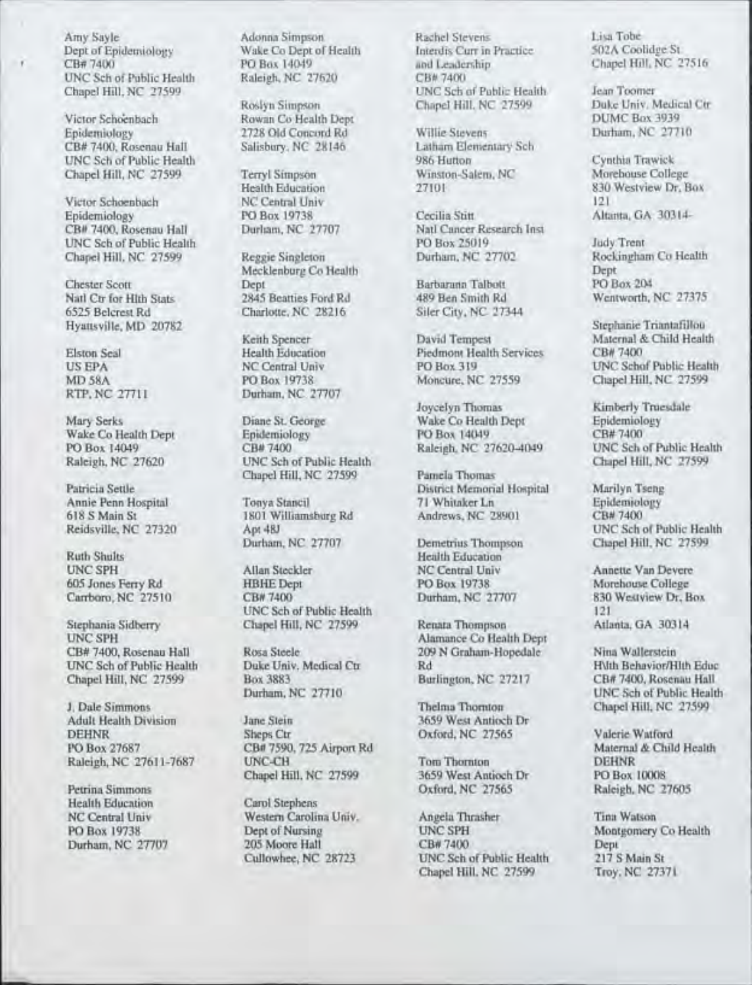Dept of Epidemiology Wake Co Dept of Health Interdis Curr in Text of Health Interdis Curr in PO Box 14049 UNC Sch of Public Health<br>Chapel Hill, NC 27599

Victor Schoenbach Rowan Co Health Dept DUMC Box 3939<br>
Epidemiology 2728 Old Concord Rd Willie Stevens Durham, NC 27710 CB# 7400, Rosenau Hall Salisbury, NC 28146 Latham Elementary School Latham Elementary School School School School School School School School School School School School School School School School School School School Sch UNC Sch of Public Health 986 Hutton 986 Hutton Cynthia Trawick<br>
Chapel Hill, NC 27599 Terryl Simpson Winston-Salem, NC Morehouse College

Victor Schoenbach NC Central Univ<br>
121 Boidemiology PO Box 19738 Cecilia Stitt CB# 7400, Rosenau Hall Durham, NC 27707 Natl Cancer Research INC School PO Box 25019

Natl Ctr for Hlth Stats 2845 Beatties Ford Rd<br>6525 Belcrest Rd Charlotte, NC 28216

618 S Main St 1801 Williamsburg Rd Andrews, NC 28901<br>
Reidsville, NC 27320 Apt 48J

Ruth Shults<br>
UNC SPH Allan Steckler<br>
MC Central Univ

Stephania Sidberry Chapel Hill, NC 27599 UNC SPH UNCSPH Alamance Co Health Dept UNC Sch of Public Health Duke Univ. Medical Ctr Rd Rd Rd Rd Rubic Health Behavior. NC 27217

J. Dale Simmons Thelma Thornton Chapel Hill, NC 27599

Petrina Simmons Carol Stephens Carol Stephens Carol Stephens Carol Stephens Carol Stephens Carol Stephens Carol Stephens Carol Stephens Carol Stephens Carol Stephens Carol Stephens Carol Stephens Carol Stephens Carol Steph Health Education

Paul Concord Rd Willie Stevens<br>
Salisbury, NC 28146 Latham Elementary Sch

Chapel Hill, NC 27599 Terryl Simpson Winston-Salem, NC 27599 Terryl Simpson 27101

Chapel Hill, NC 27599 Reggie Singleton Durham, NC 27702 Rock<br>Mecklenburg Co Health Dept Mecklenburg Co Health Dept<br>
Dept Barbarann Talbott PO Box 204

MD 58A PO Box 19738 Moncure, NC 27559 Chapel Hill, NC 27599 RTP, NC 27111 Durham, NC 27707 Durham, NC 27707

Mary Serks Diane St. George Wake Co Health Dept Epidemiol<br>
Wake Co Health Dept Epidemiology PO Box 14049 CB#7400 PO Box 14049 CB# 7400 Raleigh, NC 27620-4049 UNC Sch of Public Health<br>Raleigh, NC 27620-4049 UNC Sch of Public Health Chapel Hill, NC 27599 UNC Sch of Public Health<br>Chapel Hill, NC 27599 Pamela Thomas Chapel Hill, NC 27599

Allan Steckler NC Central Univ Annette Van Devere<br>
PO Box 19738 Morehouse College 605 Jones Ferry Rd HBHEDept PO Box 19738 Morehouse College Carrboro, NC 27510 CB# 7400 Durham, NC 27707 830 UNC Sch of Public Health 121<br>
Chapel Hill, NC 27599 Renata Thompson Atlanta, GA 30314

Ame Stein 3659 West Antioch Dr<br>
Sheps Ctr<br>
27565 DEHNR Sheps Ctr Dxford, NC 27565 Valerie Watford<br>PO Box 27687 CB# 7590, 725 Airport Rd Maternal & Child Health CB# 7590, 725 Airport Rd Maternal Maternal Maternal Maternal Maternal Maternal Ann Com Raleigh, NC 27611-7687 UNC-CH Tom Thornton Channel Hill, NC 27599 3659 West Antioch Dr

Amy Sayle Adonna Simpson Rachel Stevens Lisa Tobe Lisa Tobe<br>
Dept of Epidemiology Wake Co Dept of Health Interdis Curr in Practice 502A Coolidge St PO Box 14049<br>
Raleigh, NC 27520<br>
CB# 7400<br>
CB# 7400 Chapel Hill, NC 27599 Jean Toomer<br>
Chapel Hill, NC 27599 Duke Univ, Medical Ctr

PO Box 19738 Cecilia Stitt Altanta, GA 30314-<br>Durliam, NC 27707 Natl Cancer Research Inst UNC Sch of Public Health **PO Box 25019** Judy Trent Judy Trent PO Box 25019 Judy Trent *Judy Trent Co Health* PO Box 25019 *Judy Trent Co Health* 

Siler City, NC 27344

Elston Seal Health Education Piedmont Health Services<br>
US EPA NC Central Univ PO Box 319

Joycelyn Thomas Kimberly Truesdale<br>
Wake Co Health Dept **Kimberly** Truesdale

Patricia Settle **Patricia Settle Settle Settle Settle Settle Settle Settle Settle Settle Settle Settle Settle Settle Settle Settle Settle Settle Settle Settle Settle Settle Settle Settle Settle Settle Settle Settle Settle** Annie Penn Hospital Tonya Stancil 71 Whitaker Ln Epidemiol<br>1801 Williamsburg Rd Andrews, NC 28901 CB# 7400

Demetrius Thompson

Rosa Steele 209 N Graham-Hopedale Nina Wallerstein<br>
Duke Univ. Medical Ctr Rd Rd

Chapel Hill, NC 27599 3659 West Antioch Dr PO Box 10008<br>
Oxford, NC 27565 Raleigh, NC 2

NC Central Univ Western Carolina Univ. Angela Thrasher Tina Watson<br>
PO Box 19738 Dept of Nursing UNC SPH Montgomery PO Box 19738 Dept of Nursing UNC SPH Montgomery Co Health<br>
Durham NC 27707 205 Moore Hall CB# 7400 Dept Dept Durham, NC 27707 205 Moore Hall CB#7400 Dept<br>Cullowhee, NC 28723 UNC Sch of Public Health 217 S Main St UNC Sch of Public Health Chapel Hill, NC 27599 Troy, NC 27371

Chapel Hill, NC 27599 Duke Univ. Medical Chapel Hill, NC 27599

Health Education 27101 830 Westview Dr, Box 830 Westview Dr, Box

Chester Scott Dept Dept Barbarann Talbott PO Box 204<br>
Natl Ctr for Hith Stats 2845 Beatties Ford Rd 489 Ben Smith Rd Wentworth, NC 27375

Hyattsville, MD 20782<br>
Keith Spencer<br>
Stephanie Triantafillou<br>
Stephanie Triantafillou<br>
Maternal & Child Healt Keith Spencer David Tempest Maternal & Child Health<br>
Health Education Piedmont Health Services CB# 7400 US EPA NC Central Univ PO Box 319 UNC Schof Public Health<br>
MD 58A PO Box 19738 Moneure, NC 27559 Chapel Hill, NC 27599

Wake Co Health Dept Epidemiology FO Box 14049 CB# 7400<br>PO Box 14049 CB# 7400 Raleigh, NC 27620-4049 UNC Sch of Public Health

Apt 48J UNC Sch of Public Health<br>
Demetrius Thompson Chapel Hill, NC 27599

Box 3883 Burlington, NC 27217 CB# 7400, Rosenau Hall<br>
Durham, NC 27710 UNC Sch of Public Healt UNC Sch of Public Health